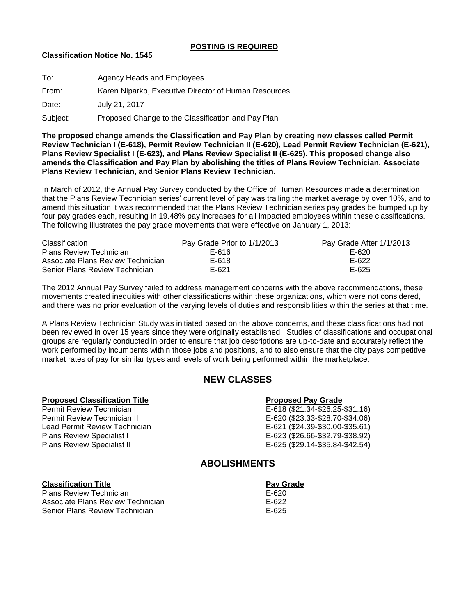### **POSTING IS REQUIRED**

### **Classification Notice No. 1545**

| To:      | Agency Heads and Employees                           |
|----------|------------------------------------------------------|
| From:    | Karen Niparko, Executive Director of Human Resources |
| Date:    | July 21, 2017                                        |
| Subject: | Proposed Change to the Classification and Pay Plan   |

**The proposed change amends the Classification and Pay Plan by creating new classes called Permit Review Technician I (E-618), Permit Review Technician II (E-620), Lead Permit Review Technician (E-621), Plans Review Specialist I (E-623), and Plans Review Specialist II (E-625). This proposed change also amends the Classification and Pay Plan by abolishing the titles of Plans Review Technician, Associate Plans Review Technician, and Senior Plans Review Technician.**

In March of 2012, the Annual Pay Survey conducted by the Office of Human Resources made a determination that the Plans Review Technician series' current level of pay was trailing the market average by over 10%, and to amend this situation it was recommended that the Plans Review Technician series pay grades be bumped up by four pay grades each, resulting in 19.48% pay increases for all impacted employees within these classifications. The following illustrates the pay grade movements that were effective on January 1, 2013:

| <b>Classification</b>             | Pay Grade Prior to 1/1/2013 | Pay Grade After 1/1/2013 |
|-----------------------------------|-----------------------------|--------------------------|
| <b>Plans Review Technician</b>    | F-616                       | E-620                    |
| Associate Plans Review Technician | E-618                       | E-622                    |
| Senior Plans Review Technician    | E-621                       | E-625                    |

The 2012 Annual Pay Survey failed to address management concerns with the above recommendations, these movements created inequities with other classifications within these organizations, which were not considered, and there was no prior evaluation of the varying levels of duties and responsibilities within the series at that time.

A Plans Review Technician Study was initiated based on the above concerns, and these classifications had not been reviewed in over 15 years since they were originally established. Studies of classifications and occupational groups are regularly conducted in order to ensure that job descriptions are up-to-date and accurately reflect the work performed by incumbents within those jobs and positions, and to also ensure that the city pays competitive market rates of pay for similar types and levels of work being performed within the marketplace.

# **NEW CLASSES**

### **Proposed Classification Title Proposed Pay Grade**

Permit Review Technician II E-620 (\$23.33-\$28.70-\$34.06) Lead Permit Review Technician E-621 (\$24.39-\$30.00-\$35.61) Plans Review Specialist II **E-625 (\$29.14-\$35.84-\$42.54)** 

Permit Review Technician I E-618 (\$21.34-\$26.25-\$31.16) E-623 (\$26.66-\$32.79-\$38.92)

## **ABOLISHMENTS**

### **Classification Title Pay Grade Pay Grade**

Plans Review Technician E-620 Associate Plans Review Technician **E-622** E-622 Senior Plans Review Technician E-625